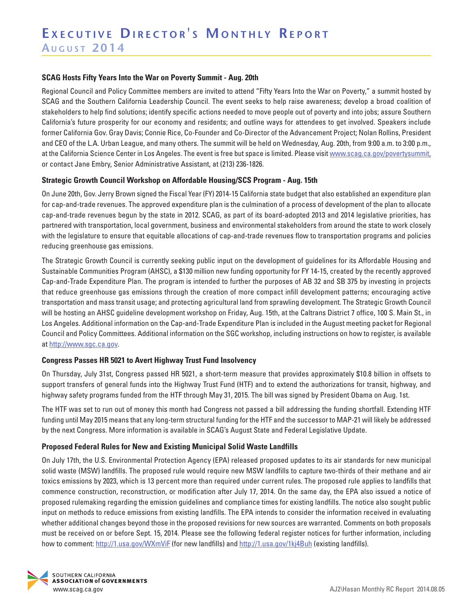#### **SCAG Hosts Fifty Years Into the War on Poverty Summit - Aug. 20th**

Regional Council and Policy Committee members are invited to attend "Fifty Years Into the War on Poverty," a summit hosted by SCAG and the Southern California Leadership Council. The event seeks to help raise awareness; develop a broad coalition of stakeholders to help find solutions; identify specific actions needed to move people out of poverty and into jobs; assure Southern California's future prosperity for our economy and residents; and outline ways for attendees to get involved. Speakers include former California Gov. Gray Davis; Connie Rice, Co-Founder and Co-Director of the Advancement Project; Nolan Rollins, President and CEO of the L.A. Urban League, and many others. The summit will be held on Wednesday, Aug. 20th, from 9:00 a.m. to 3:00 p.m., at the California Science Center in Los Angeles. The event is free but space is limited. Please visit www.scag.ca.gov/povertysummit, or contact Jane Embry, Senior Administrative Assistant, at (213) 236-1826.

### **Strategic Growth Council Workshop on Affordable Housing/SCS Program - Aug. 15th**

On June 20th, Gov. Jerry Brown signed the Fiscal Year (FY) 2014-15 California state budget that also established an expenditure plan for cap-and-trade revenues. The approved expenditure plan is the culmination of a process of development of the plan to allocate cap-and-trade revenues begun by the state in 2012. SCAG, as part of its board-adopted 2013 and 2014 legislative priorities, has partnered with transportation, local government, business and environmental stakeholders from around the state to work closely with the legislature to ensure that equitable allocations of cap-and-trade revenues flow to transportation programs and policies reducing greenhouse gas emissions.

The Strategic Growth Council is currently seeking public input on the development of guidelines for its Affordable Housing and Sustainable Communities Program (AHSC), a \$130 million new funding opportunity for FY 14-15, created by the recently approved Cap-and-Trade Expenditure Plan. The program is intended to further the purposes of AB 32 and SB 375 by investing in projects that reduce greenhouse gas emissions through the creation of more compact infill development patterns; encouraging active transportation and mass transit usage; and protecting agricultural land from sprawling development. The Strategic Growth Council will be hosting an AHSC guideline development workshop on Friday, Aug. 15th, at the Caltrans District 7 office, 100 S. Main St., in Los Angeles. Additional information on the Cap-and-Trade Expenditure Plan is included in the August meeting packet for Regional Council and Policy Committees. Additional information on the SGC workshop, including instructions on how to register, is available at http://www.sgc.ca.gov.

## **Congress Passes HR 5021 to Avert Highway Trust Fund Insolvency**

On Thursday, July 31st, Congress passed HR 5021, a short-term measure that provides approximately \$10.8 billion in offsets to support transfers of general funds into the Highway Trust Fund (HTF) and to extend the authorizations for transit, highway, and highway safety programs funded from the HTF through May 31, 2015. The bill was signed by President Obama on Aug. 1st.

The HTF was set to run out of money this month had Congress not passed a bill addressing the funding shortfall. Extending HTF funding until May 2015 means that any long-term structural funding for the HTF and the successor to MAP-21 will likely be addressed by the next Congress. More information is available in SCAG's August State and Federal Legislative Update.

### **Proposed Federal Rules for New and Existing Municipal Solid Waste Landfills**

On July 17th, the U.S. Environmental Protection Agency (EPA) released proposed updates to its air standards for new municipal solid waste (MSW) landfills. The proposed rule would require new MSW landfills to capture two-thirds of their methane and air toxics emissions by 2023, which is 13 percent more than required under current rules. The proposed rule applies to landfills that commence construction, reconstruction, or modification after July 17, 2014. On the same day, the EPA also issued a notice of proposed rulemaking regarding the emission guidelines and compliance times for existing landfills. The notice also sought public input on methods to reduce emissions from existing landfills. The EPA intends to consider the information received in evaluating whether additional changes beyond those in the proposed revisions for new sources are warranted. Comments on both proposals must be received on or before Sept. 15, 2014. Please see the following federal register notices for further information, including how to comment: http://1.usa.gov/WXmViF (for new landfills) and http://1.usa.gov/1kj4Buh (existing landfills).